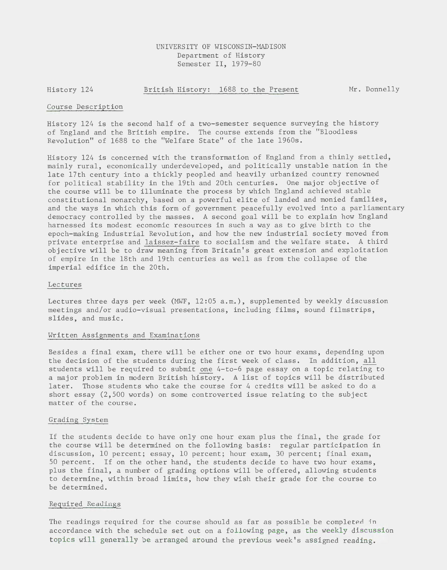# UNIVERSITY OF WISCONSIN-MADISON Department of History Semester II, 1979-80

History 124 British History: 1688 to the Present Mr. Donnelly

#### Course Description

History 124 is the second half of a two-semester sequence surveying the history of England and the British empire. The course extends from the "Bloodless Revolution" of 1688 to the "Welfare State" of the late 1960s.

History 124 is concerned with the transformation of England from a thinly settled, mainly rural, economically underdeveloped, and politically unstable nation in the late 17th century into a thickly peopled and heavily urbanized country renowned for political stability in the 19th and 20th centuries. One major objective of the course will be to illuminate the process by which England achieved stable constitutional monarchy, based on a powerful elite of landed and monied families, and the ways in which this form of government peacefully evolved into a parliamentary democracy controlled by the masses. A second goal will be to explain how England harnessed its modest economic resources in such a way as to give birth to the epoch-making Industrial Revolution, and how the new industrial society moved from private enterprise and laissez-faire to socialism and the welfare state. A third objective will be to draw meaning from Britain's great extension and exploitation of empire in the 18th and 19th centuries as well as from the collapse of the imperial edifice in the 20th.

#### Lectures

Lectures three days per week (MWF, 12:05 a.m.), supplemented by weekly discussion meetings and/or audio-visual presentations, including films, sound filmstrips, slides, and music.

### Written Assignments and Examinations

Besides a final exam, there will be either one or two hour exams, depending upon the decision of the students during the first week of class. In addition, all students will be required to submit one 4-to-6 page essay on a topic relating to a major problem in modern British history. A list of topics will be distributed later. Those students who take the course for 4 credits will be asked to do a short essay (2,500 words) on some controverted issue relating to the subject matter of the course.

#### Grading System

If the students decide to have only one hour exam plus the final, the grade for the course will be determined on the following basis: regular participation in discussion, 10 percent; essay, 10 percent; hour exam, 30 percent; final exam, 50 percent. If on the other hand, the students decide to have two hour exams, plus the final, a number of grading options will be offered, allowing students to determine, within broad limits, how they wish their grade for the course to be determined.

## Required Readings

The readings required for the course should as far as possible be completed in accordance with the schedule set out on a following page, as the weekly discussion topics will generally be arranged around the previous week's assigned reading.